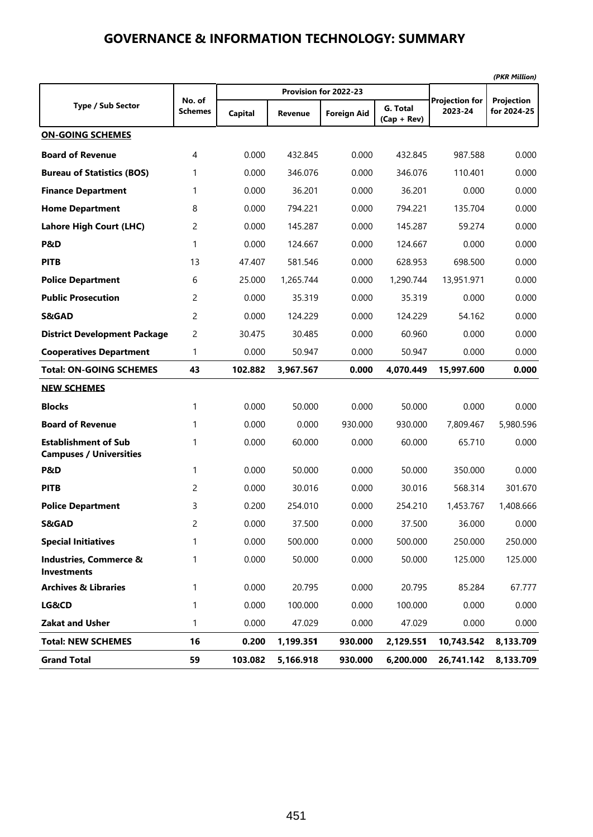|                                                               | No. of         |         | Provision for 2022-23 | <b>Projection for</b> |                           |            |                           |  |
|---------------------------------------------------------------|----------------|---------|-----------------------|-----------------------|---------------------------|------------|---------------------------|--|
| <b>Type / Sub Sector</b>                                      | Schemes        | Capital | <b>Revenue</b>        | <b>Foreign Aid</b>    | G. Total<br>$(Cap + Rev)$ | 2023-24    | Projection<br>for 2024-25 |  |
| <b>ON-GOING SCHEMES</b>                                       |                |         |                       |                       |                           |            |                           |  |
| <b>Board of Revenue</b>                                       | 4              | 0.000   | 432.845               | 0.000                 | 432.845                   | 987.588    | 0.000                     |  |
| <b>Bureau of Statistics (BOS)</b>                             | 1              | 0.000   | 346.076               | 0.000                 | 346.076                   | 110.401    | 0.000                     |  |
| <b>Finance Department</b>                                     | 1              | 0.000   | 36.201                | 0.000                 | 36.201                    | 0.000      | 0.000                     |  |
| <b>Home Department</b>                                        | 8              | 0.000   | 794.221               | 0.000                 | 794.221                   | 135.704    | 0.000                     |  |
| Lahore High Court (LHC)                                       | $\overline{c}$ | 0.000   | 145.287               | 0.000                 | 145.287                   | 59.274     | 0.000                     |  |
| P&D                                                           | 1              | 0.000   | 124.667               | 0.000                 | 124.667                   | 0.000      | 0.000                     |  |
| <b>PITB</b>                                                   | 13             | 47.407  | 581.546               | 0.000                 | 628.953                   | 698.500    | 0.000                     |  |
| <b>Police Department</b>                                      | 6              | 25.000  | 1,265.744             | 0.000                 | 1,290.744                 | 13,951.971 | 0.000                     |  |
| <b>Public Prosecution</b>                                     | $\overline{c}$ | 0.000   | 35.319                | 0.000                 | 35.319                    | 0.000      | 0.000                     |  |
| <b>S&amp;GAD</b>                                              | 2              | 0.000   | 124.229               | 0.000                 | 124.229                   | 54.162     | 0.000                     |  |
| <b>District Development Package</b>                           | $\overline{c}$ | 30.475  | 30.485                | 0.000                 | 60.960                    | 0.000      | 0.000                     |  |
| <b>Cooperatives Department</b>                                | $\mathbf{1}$   | 0.000   | 50.947                | 0.000                 | 50.947                    | 0.000      | 0.000                     |  |
| <b>Total: ON-GOING SCHEMES</b>                                | 43             | 102.882 | 3,967.567             | 0.000                 | 4,070.449                 | 15,997.600 | 0.000                     |  |
| <b>NEW SCHEMES</b>                                            |                |         |                       |                       |                           |            |                           |  |
| <b>Blocks</b>                                                 | 1              | 0.000   | 50.000                | 0.000                 | 50.000                    | 0.000      | 0.000                     |  |
| <b>Board of Revenue</b>                                       | 1              | 0.000   | 0.000                 | 930.000               | 930.000                   | 7,809.467  | 5,980.596                 |  |
| <b>Establishment of Sub</b><br><b>Campuses / Universities</b> | 1              | 0.000   | 60.000                | 0.000                 | 60.000                    | 65.710     | 0.000                     |  |
| P&D                                                           | 1              | 0.000   | 50.000                | 0.000                 | 50.000                    | 350.000    | 0.000                     |  |
| <b>PITB</b>                                                   | 2              | 0.000   | 30.016                | 0.000                 | 30.016                    | 568.314    | 301.670                   |  |
| <b>Police Department</b>                                      | 3              | 0.200   | 254.010               | 0.000                 | 254.210                   | 1,453.767  | 1,408.666                 |  |
| S&GAD                                                         | 2              | 0.000   | 37.500                | 0.000                 | 37.500                    | 36.000     | 0.000                     |  |
| <b>Special Initiatives</b>                                    | 1              | 0.000   | 500.000               | 0.000                 | 500.000                   | 250.000    | 250.000                   |  |
| <b>Industries, Commerce &amp;</b><br><b>Investments</b>       | 1              | 0.000   | 50.000                | 0.000                 | 50.000                    | 125.000    | 125.000                   |  |
| <b>Archives &amp; Libraries</b>                               | 1              | 0.000   | 20.795                | 0.000                 | 20.795                    | 85.284     | 67.777                    |  |
| LG&CD                                                         | 1              | 0.000   | 100.000               | 0.000                 | 100.000                   | 0.000      | 0.000                     |  |
| <b>Zakat and Usher</b>                                        | 1              | 0.000   | 47.029                | 0.000                 | 47.029                    | 0.000      | 0.000                     |  |
| <b>Total: NEW SCHEMES</b>                                     | 16             | 0.200   | 1,199.351             | 930.000               | 2,129.551                 | 10,743.542 | 8,133.709                 |  |
| <b>Grand Total</b>                                            | 59             | 103.082 | 5,166.918             | 930.000               | 6,200.000                 | 26,741.142 | 8,133.709                 |  |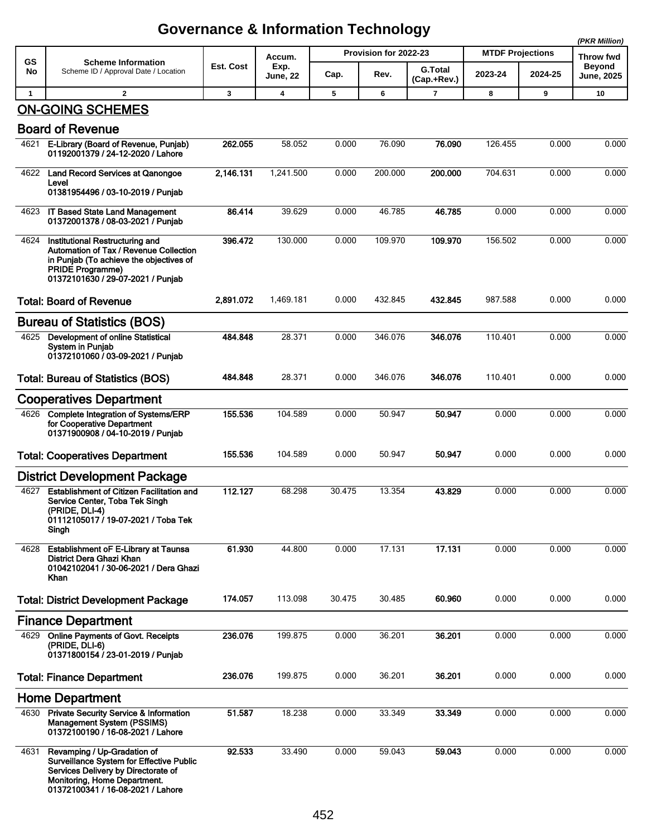|              |                                                                                                                                                                                            |           |                         |                       |         |                               |                         |           | (PKR Million)               |
|--------------|--------------------------------------------------------------------------------------------------------------------------------------------------------------------------------------------|-----------|-------------------------|-----------------------|---------|-------------------------------|-------------------------|-----------|-----------------------------|
| GS           | <b>Scheme Information</b>                                                                                                                                                                  |           | Accum.                  | Provision for 2022-23 |         |                               | <b>MTDF Projections</b> | Throw fwd |                             |
| No           | Scheme ID / Approval Date / Location                                                                                                                                                       | Est. Cost | Exp.<br><b>June, 22</b> | Cap.                  | Rev.    | <b>G.Total</b><br>(Cap.+Rev.) | 2023-24                 | 2024-25   | <b>Beyond</b><br>June, 2025 |
| $\mathbf{1}$ | $\overline{2}$                                                                                                                                                                             | 3         | 4                       | 5                     | 6       | $\overline{7}$                | 8                       | 9         | 10                          |
|              | <b>ON-GOING SCHEMES</b>                                                                                                                                                                    |           |                         |                       |         |                               |                         |           |                             |
|              | <b>Board of Revenue</b>                                                                                                                                                                    |           |                         |                       |         |                               |                         |           |                             |
| 4621         | E-Library (Board of Revenue, Punjab)<br>01192001379 / 24-12-2020 / Lahore                                                                                                                  | 262.055   | 58.052                  | 0.000                 | 76.090  | 76.090                        | 126.455                 | 0.000     | 0.000                       |
| 4622         | Land Record Services at Qanongoe<br>Level<br>01381954496 / 03-10-2019 / Punjab                                                                                                             | 2,146.131 | 1,241.500               | 0.000                 | 200.000 | 200.000                       | 704.631                 | 0.000     | 0.000                       |
|              | 4623 IT Based State Land Management<br>01372001378 / 08-03-2021 / Punjab                                                                                                                   | 86.414    | 39.629                  | 0.000                 | 46.785  | 46.785                        | 0.000                   | 0.000     | 0.000                       |
| 4624         | Institutional Restructuring and<br>Automation of Tax / Revenue Collection<br>in Punjab (To achieve the objectives of<br><b>PRIDE Programme)</b><br>01372101630 / 29-07-2021 / Punjab       | 396.472   | 130.000                 | 0.000                 | 109.970 | 109.970                       | 156.502                 | 0.000     | 0.000                       |
|              | <b>Total: Board of Revenue</b>                                                                                                                                                             | 2,891.072 | 1,469.181               | 0.000                 | 432.845 | 432.845                       | 987.588                 | 0.000     | 0.000                       |
|              | <b>Bureau of Statistics (BOS)</b>                                                                                                                                                          |           |                         |                       |         |                               |                         |           |                             |
| 4625         | Development of online Statistical<br><b>System in Punjab</b><br>01372101060 / 03-09-2021 / Punjab                                                                                          | 484.848   | 28.371                  | 0.000                 | 346.076 | 346.076                       | 110.401                 | 0.000     | 0.000                       |
|              | <b>Total: Bureau of Statistics (BOS)</b>                                                                                                                                                   | 484.848   | 28.371                  | 0.000                 | 346.076 | 346.076                       | 110.401                 | 0.000     | 0.000                       |
|              | <b>Cooperatives Department</b>                                                                                                                                                             |           |                         |                       |         |                               |                         |           |                             |
| 4626         | <b>Complete Integration of Systems/ERP</b><br>for Cooperative Department<br>01371900908 / 04-10-2019 / Punjab                                                                              | 155.536   | 104.589                 | 0.000                 | 50.947  | 50.947                        | 0.000                   | 0.000     | 0.000                       |
|              | <b>Total: Cooperatives Department</b>                                                                                                                                                      | 155.536   | 104.589                 | 0.000                 | 50.947  | 50.947                        | 0.000                   | 0.000     | 0.000                       |
|              | <b>District Development Package</b>                                                                                                                                                        |           |                         |                       |         |                               |                         |           |                             |
| 4627         | Establishment of Citizen Facilitation and<br>Service Center, Toba Tek Singh<br>(PRIDE, DLI-4)<br>01112105017 / 19-07-2021 / Toba Tek<br>Singh                                              | 112.127   | 68.298                  | 30.475                | 13.354  | 43.829                        | 0.000                   | 0.000     | 0.000                       |
| 4628         | Establishment oF E-Library at Taunsa<br>District Dera Ghazi Khan<br>01042102041 / 30-06-2021 / Dera Ghazi<br>Khan                                                                          | 61.930    | 44.800                  | 0.000                 | 17.131  | 17.131                        | 0.000                   | 0.000     | 0.000                       |
|              | <b>Total: District Development Package</b>                                                                                                                                                 | 174.057   | 113.098                 | 30.475                | 30.485  | 60.960                        | 0.000                   | 0.000     | 0.000                       |
|              | <b>Finance Department</b>                                                                                                                                                                  |           |                         |                       |         |                               |                         |           |                             |
| 4629         | <b>Online Payments of Govt. Receipts</b><br>(PRIDE, DLI-6)<br>01371800154 / 23-01-2019 / Punjab                                                                                            | 236.076   | 199.875                 | 0.000                 | 36.201  | 36.201                        | 0.000                   | 0.000     | 0.000                       |
|              | <b>Total: Finance Department</b>                                                                                                                                                           | 236.076   | 199.875                 | 0.000                 | 36.201  | 36.201                        | 0.000                   | 0.000     | 0.000                       |
|              | <b>Home Department</b>                                                                                                                                                                     |           |                         |                       |         |                               |                         |           |                             |
| 4630         | <b>Private Security Service &amp; Information</b><br>Management System (PSSIMS)<br>01372100190 / 16-08-2021 / Lahore                                                                       | 51.587    | 18.238                  | 0.000                 | 33.349  | 33.349                        | 0.000                   | 0.000     | 0.000                       |
| 4631         | Revamping / Up-Gradation of<br><b>Surveillance System for Effective Public</b><br>Services Delivery by Directorate of<br>Monitoring, Home Department.<br>01372100341 / 16-08-2021 / Lahore | 92.533    | 33.490                  | 0.000                 | 59.043  | 59.043                        | 0.000                   | 0.000     | 0.000                       |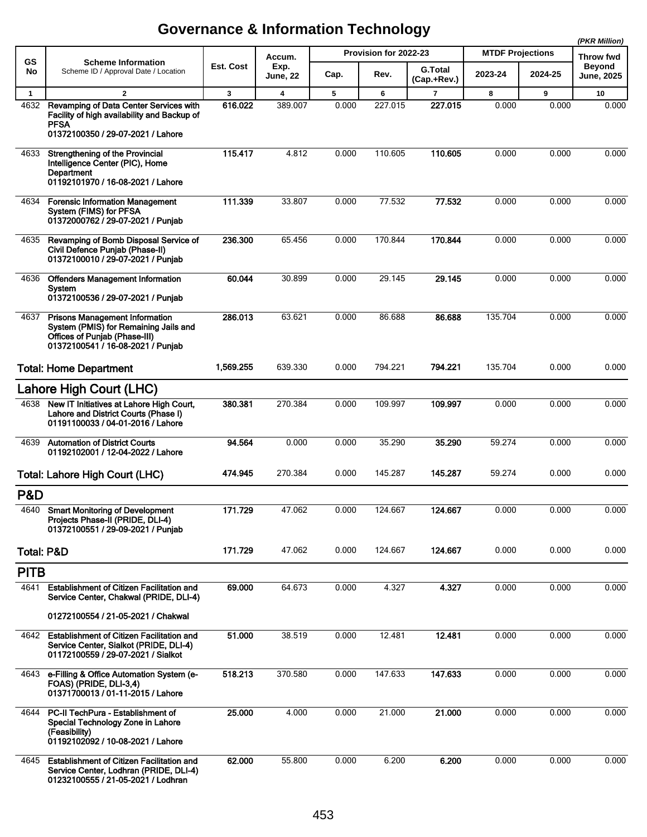|                       |                                                                                                                                                      |           |                         |                       |         |                               |                         |         | (PKR Million)               |
|-----------------------|------------------------------------------------------------------------------------------------------------------------------------------------------|-----------|-------------------------|-----------------------|---------|-------------------------------|-------------------------|---------|-----------------------------|
| GS                    | <b>Scheme Information</b>                                                                                                                            |           | Accum.                  | Provision for 2022-23 |         |                               | <b>MTDF Projections</b> |         | Throw fwd                   |
| No                    | Scheme ID / Approval Date / Location                                                                                                                 | Est. Cost | Exp.<br><b>June, 22</b> | Cap.                  | Rev.    | <b>G.Total</b><br>(Cap.+Rev.) | 2023-24                 | 2024-25 | <b>Beyond</b><br>June, 2025 |
| $\mathbf{1}$          | $\overline{2}$                                                                                                                                       | 3         | $\overline{\mathbf{4}}$ | 5                     | 6       | $\overline{7}$                | 8                       | 9       | 10                          |
| 4632                  | Revamping of Data Center Services with<br>Facility of high availability and Backup of<br><b>PFSA</b><br>01372100350 / 29-07-2021 / Lahore            | 616.022   | 389.007                 | 0.000                 | 227.015 | 227.015                       | 0.000                   | 0.000   | 0.000                       |
| 4633                  | Strengthening of the Provincial<br>Intelligence Center (PIC), Home<br>Department<br>01192101970 / 16-08-2021 / Lahore                                | 115.417   | 4.812                   | 0.000                 | 110.605 | 110.605                       | 0.000                   | 0.000   | 0.000                       |
| 4634                  | <b>Forensic Information Management</b><br>System (FIMS) for PFSA<br>01372000762 / 29-07-2021 / Punjab                                                | 111.339   | 33.807                  | 0.000                 | 77.532  | 77.532                        | 0.000                   | 0.000   | 0.000                       |
| 4635                  | Revamping of Bomb Disposal Service of<br>Civil Defence Punjab (Phase-II)<br>01372100010 / 29-07-2021 / Punjab                                        | 236.300   | 65.456                  | 0.000                 | 170.844 | 170.844                       | 0.000                   | 0.000   | 0.000                       |
| 4636                  | <b>Offenders Management Information</b><br>System<br>01372100536 / 29-07-2021 / Punjab                                                               | 60.044    | 30.899                  | 0.000                 | 29.145  | 29.145                        | 0.000                   | 0.000   | 0.000                       |
| 4637                  | <b>Prisons Management Information</b><br>System (PMIS) for Remaining Jails and<br>Offices of Punjab (Phase-III)<br>01372100541 / 16-08-2021 / Punjab | 286.013   | 63.621                  | 0.000                 | 86.688  | 86.688                        | 135.704                 | 0.000   | 0.000                       |
|                       | <b>Total: Home Department</b>                                                                                                                        | 1,569.255 | 639.330                 | 0.000                 | 794.221 | 794.221                       | 135.704                 | 0.000   | 0.000                       |
|                       | Lahore High Court (LHC)                                                                                                                              |           |                         |                       |         |                               |                         |         |                             |
| 4638                  | New IT Initiatives at Lahore High Court,<br>Lahore and District Courts (Phase I)<br>01191100033 / 04-01-2016 / Lahore                                | 380.381   | 270.384                 | 0.000                 | 109.997 | 109.997                       | 0.000                   | 0.000   | 0.000                       |
| 4639                  | <b>Automation of District Courts</b><br>01192102001 / 12-04-2022 / Lahore                                                                            | 94.564    | 0.000                   | 0.000                 | 35.290  | 35.290                        | 59.274                  | 0.000   | 0.000                       |
|                       | Total: Lahore High Court (LHC)                                                                                                                       | 474.945   | 270.384                 | 0.000                 | 145.287 | 145.287                       | 59.274                  | 0.000   | 0.000                       |
| P&D                   |                                                                                                                                                      |           |                         |                       |         |                               |                         |         |                             |
| 4640                  | <b>Smart Monitoring of Development</b><br>Projects Phase-II (PRIDE, DLI-4)<br>01372100551 / 29-09-2021 / Punjab                                      | 171.729   | 47.062                  | 0.000                 | 124.667 | 124.667                       | 0.000                   | 0.000   | 0.000                       |
| <b>Total: P&amp;D</b> |                                                                                                                                                      | 171.729   | 47.062                  | 0.000                 | 124.667 | 124.667                       | 0.000                   | 0.000   | 0.000                       |
| <b>PITB</b>           |                                                                                                                                                      |           |                         |                       |         |                               |                         |         |                             |
| 4641                  | <b>Establishment of Citizen Facilitation and</b><br>Service Center, Chakwal (PRIDE, DLI-4)                                                           | 69.000    | 64.673                  | 0.000                 | 4.327   | 4.327                         | 0.000                   | 0.000   | 0.000                       |
|                       | 01272100554 / 21-05-2021 / Chakwal                                                                                                                   |           |                         |                       |         |                               |                         |         |                             |
| 4642                  | <b>Establishment of Citizen Facilitation and</b><br>Service Center, Sialkot (PRIDE, DLI-4)<br>01172100559 / 29-07-2021 / Sialkot                     | 51.000    | 38.519                  | 0.000                 | 12.481  | 12.481                        | 0.000                   | 0.000   | 0.000                       |
| 4643                  | e-Filling & Office Automation System (e-<br>FOAS) (PRIDE, DLI-3,4)<br>01371700013 / 01-11-2015 / Lahore                                              | 518.213   | 370.580                 | 0.000                 | 147.633 | 147.633                       | 0.000                   | 0.000   | 0.000                       |
| 4644                  | PC-II TechPura - Establishment of<br>Special Technology Zone in Lahore<br>(Feasibility)<br>01192102092 / 10-08-2021 / Lahore                         | 25.000    | 4.000                   | 0.000                 | 21.000  | 21.000                        | 0.000                   | 0.000   | 0.000                       |
| 4645                  | <b>Establishment of Citizen Facilitation and</b><br>Service Center, Lodhran (PRIDE, DLI-4)<br>01232100555 / 21-05-2021 / Lodhran                     | 62.000    | 55.800                  | 0.000                 | 6.200   | 6.200                         | 0.000                   | 0.000   | 0.000                       |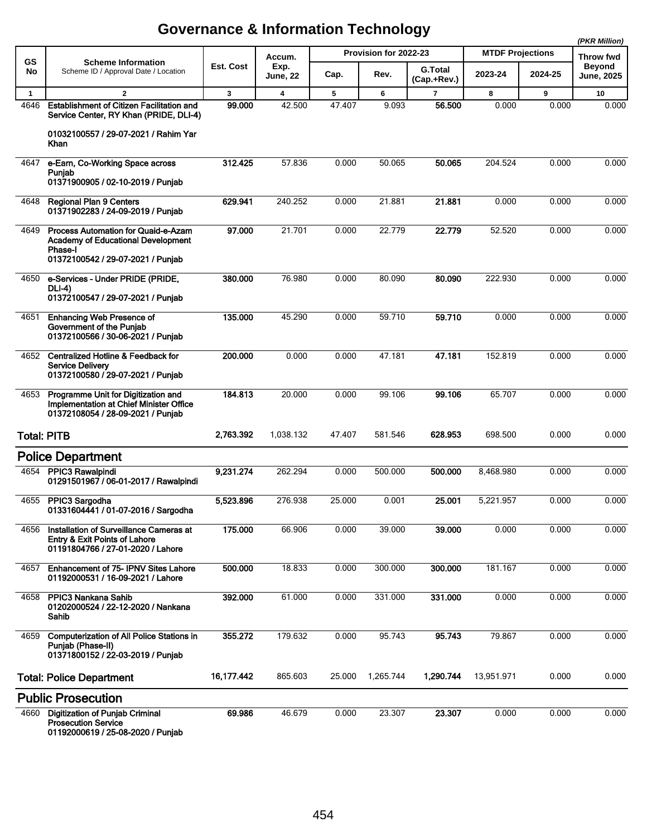|              |                                                                                                                                                |            |                         |        |                       |                               |                         |         | (PKR Million)               |
|--------------|------------------------------------------------------------------------------------------------------------------------------------------------|------------|-------------------------|--------|-----------------------|-------------------------------|-------------------------|---------|-----------------------------|
| GS           | <b>Scheme Information</b>                                                                                                                      |            | Accum.                  |        | Provision for 2022-23 |                               | <b>MTDF Projections</b> |         | <b>Throw fwd</b>            |
| No           | Scheme ID / Approval Date / Location                                                                                                           | Est. Cost  | Exp.<br>June, 22        | Cap.   | Rev.                  | <b>G.Total</b><br>(Cap.+Rev.) | 2023-24                 | 2024-25 | <b>Beyond</b><br>June, 2025 |
| $\mathbf{1}$ | $\overline{2}$                                                                                                                                 | 3          | $\overline{\mathbf{4}}$ | 5      | 6                     | $\overline{7}$                | 8                       | 9       | 10                          |
| 4646         | <b>Establishment of Citizen Facilitation and</b><br>Service Center, RY Khan (PRIDE, DLI-4)                                                     | 99.000     | 42.500                  | 47.407 | 9.093                 | 56.500                        | 0.000                   | 0.000   | 0.000                       |
|              | 01032100557 / 29-07-2021 / Rahim Yar<br>Khan                                                                                                   |            |                         |        |                       |                               |                         |         |                             |
| 4647         | e-Earn, Co-Working Space across<br>Punjab<br>01371900905 / 02-10-2019 / Punjab                                                                 | 312.425    | 57.836                  | 0.000  | 50.065                | 50.065                        | 204.524                 | 0.000   | 0.000                       |
| 4648         | <b>Regional Plan 9 Centers</b><br>01371902283 / 24-09-2019 / Punjab                                                                            | 629.941    | 240.252                 | 0.000  | 21.881                | 21.881                        | 0.000                   | 0.000   | 0.000                       |
| 4649         | <b>Process Automation for Quaid-e-Azam</b><br><b>Academy of Educational Development</b><br><b>Phase-I</b><br>01372100542 / 29-07-2021 / Punjab | 97.000     | 21.701                  | 0.000  | 22.779                | 22.779                        | 52.520                  | 0.000   | 0.000                       |
| 4650         | e-Services - Under PRIDE (PRIDE,<br>DLI-4)<br>01372100547 / 29-07-2021 / Punjab                                                                | 380.000    | 76.980                  | 0.000  | 80.090                | 80.090                        | 222.930                 | 0.000   | 0.000                       |
| 4651         | <b>Enhancing Web Presence of</b><br>Government of the Punjab<br>01372100566 / 30-06-2021 / Punjab                                              | 135.000    | 45.290                  | 0.000  | 59.710                | 59.710                        | 0.000                   | 0.000   | 0.000                       |
| 4652         | <b>Centralized Hotline &amp; Feedback for</b><br><b>Service Delivery</b><br>01372100580 / 29-07-2021 / Punjab                                  | 200.000    | 0.000                   | 0.000  | 47.181                | 47.181                        | 152.819                 | 0.000   | 0.000                       |
| 4653         | Programme Unit for Digitization and<br>Implementation at Chief Minister Office<br>01372108054 / 28-09-2021 / Punjab                            | 184.813    | 20.000                  | 0.000  | 99.106                | 99.106                        | 65.707                  | 0.000   | 0.000                       |
|              | <b>Total: PITB</b>                                                                                                                             | 2,763.392  | 1,038.132               | 47.407 | 581.546               | 628.953                       | 698.500                 | 0.000   | 0.000                       |
|              | <b>Police Department</b>                                                                                                                       |            |                         |        |                       |                               |                         |         |                             |
| 4654         | PPIC3 Rawalpindi<br>01291501967 / 06-01-2017 / Rawalpindi                                                                                      | 9,231.274  | 262.294                 | 0.000  | 500.000               | 500.000                       | 8,468.980               | 0.000   | 0.000                       |
| 4655         | PPIC3 Sargodha<br>01331604441 / 01-07-2016 / Sargodha                                                                                          | 5,523.896  | 276.938                 | 25.000 | 0.001                 | 25.001                        | 5,221.957               | 0.000   | 0.000                       |
| 4656         | Installation of Surveillance Cameras at<br>Entry & Exit Points of Lahore<br>01191804766 / 27-01-2020 / Lahore                                  | 175.000    | 66.906                  | 0.000  | 39.000                | 39,000                        | 0.000                   | 0.000   | 0.000                       |
| 4657         | <b>Enhancement of 75-IPNV Sites Lahore</b><br>01192000531 / 16-09-2021 / Lahore                                                                | 500.000    | 18.833                  | 0.000  | 300.000               | 300.000                       | 181.167                 | 0.000   | 0.000                       |
| 4658         | <b>PPIC3 Nankana Sahib</b><br>01202000524 / 22-12-2020 / Nankana<br>Sahib                                                                      | 392.000    | 61.000                  | 0.000  | 331.000               | 331.000                       | 0.000                   | 0.000   | 0.000                       |
| 4659         | <b>Computerization of All Police Stations in</b><br>Punjab (Phase-II)<br>01371800152 / 22-03-2019 / Punjab                                     | 355.272    | 179.632                 | 0.000  | 95.743                | 95.743                        | 79.867                  | 0.000   | 0.000                       |
|              | <b>Total: Police Department</b>                                                                                                                | 16,177.442 | 865.603                 | 25.000 | 1,265.744             | 1,290.744                     | 13,951.971              | 0.000   | 0.000                       |
|              | <b>Public Prosecution</b>                                                                                                                      |            |                         |        |                       |                               |                         |         |                             |
| 4660         | <b>Digitization of Punjab Criminal</b><br><b>Prosecution Service</b><br>01192000619 / 25-08-2020 / Punjab                                      | 69.986     | 46.679                  | 0.000  | 23.307                | 23.307                        | 0.000                   | 0.000   | 0.000                       |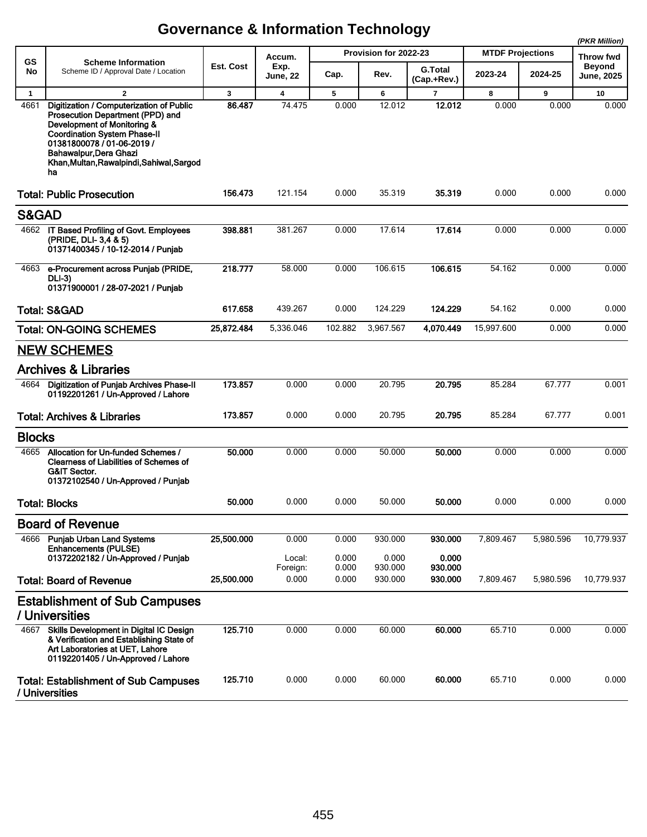|               |                                                                                                                                                                                                                                                               |            |                         |                |                       |                               |                         |           | (PKR Million)                      |
|---------------|---------------------------------------------------------------------------------------------------------------------------------------------------------------------------------------------------------------------------------------------------------------|------------|-------------------------|----------------|-----------------------|-------------------------------|-------------------------|-----------|------------------------------------|
| GS            | <b>Scheme Information</b>                                                                                                                                                                                                                                     |            | Accum.                  |                | Provision for 2022-23 |                               | <b>MTDF Projections</b> |           | Throw fwd                          |
| No            | Scheme ID / Approval Date / Location                                                                                                                                                                                                                          | Est. Cost  | Exp.<br><b>June, 22</b> | Cap.           | Rev.                  | <b>G.Total</b><br>(Cap.+Rev.) | 2023-24                 | 2024-25   | <b>Beyond</b><br><b>June, 2025</b> |
| $\mathbf{1}$  | $\overline{2}$                                                                                                                                                                                                                                                | 3          | $\overline{\mathbf{4}}$ | 5              | 6                     | $\overline{7}$                | 8                       | 9         | 10                                 |
| 4661          | Digitization / Computerization of Public<br>Prosecution Department (PPD) and<br>Development of Monitoring &<br><b>Coordination System Phase-II</b><br>01381800078 / 01-06-2019 /<br>Bahawalpur, Dera Ghazi<br>Khan, Multan, Rawalpindi, Sahiwal, Sargod<br>ha | 86.487     | 74.475                  | 0.000          | 12.012                | 12.012                        | 0.000                   | 0.000     | 0.000                              |
|               | <b>Total: Public Prosecution</b>                                                                                                                                                                                                                              | 156.473    | 121.154                 | 0.000          | 35.319                | 35.319                        | 0.000                   | 0.000     | 0.000                              |
| S&GAD         |                                                                                                                                                                                                                                                               |            |                         |                |                       |                               |                         |           |                                    |
|               | 4662 IT Based Profiling of Govt. Employees<br>(PRIDE, DLI- 3,4 & 5)<br>01371400345 / 10-12-2014 / Punjab                                                                                                                                                      | 398.881    | 381.267                 | 0.000          | 17.614                | 17.614                        | 0.000                   | 0.000     | 0.000                              |
| 4663          | e-Procurement across Punjab (PRIDE,<br><b>DLI-3)</b><br>01371900001 / 28-07-2021 / Punjab                                                                                                                                                                     | 218.777    | 58.000                  | 0.000          | 106.615               | 106.615                       | 54.162                  | 0.000     | 0.000                              |
|               | <b>Total: S&amp;GAD</b>                                                                                                                                                                                                                                       | 617.658    | 439.267                 | 0.000          | 124.229               | 124.229                       | 54.162                  | 0.000     | 0.000                              |
|               | <b>Total: ON-GOING SCHEMES</b>                                                                                                                                                                                                                                | 25,872.484 | 5,336.046               | 102.882        | 3,967.567             | 4,070.449                     | 15,997.600              | 0.000     | 0.000                              |
|               | <b>NEW SCHEMES</b>                                                                                                                                                                                                                                            |            |                         |                |                       |                               |                         |           |                                    |
|               | <b>Archives &amp; Libraries</b>                                                                                                                                                                                                                               |            |                         |                |                       |                               |                         |           |                                    |
| 4664          | Digitization of Punjab Archives Phase-II<br>01192201261 / Un-Approved / Lahore                                                                                                                                                                                | 173.857    | 0.000                   | 0.000          | 20.795                | 20.795                        | 85.284                  | 67.777    | 0.001                              |
|               | <b>Total: Archives &amp; Libraries</b>                                                                                                                                                                                                                        | 173.857    | 0.000                   | 0.000          | 20.795                | 20.795                        | 85.284                  | 67.777    | 0.001                              |
| <b>Blocks</b> |                                                                                                                                                                                                                                                               |            |                         |                |                       |                               |                         |           |                                    |
|               | 4665 Allocation for Un-funded Schemes /<br><b>Clearness of Liabilities of Schemes of</b><br><b>G&amp;IT Sector.</b><br>01372102540 / Un-Approved / Punjab                                                                                                     | 50.000     | 0.000                   | 0.000          | 50.000                | 50.000                        | 0.000                   | 0.000     | 0.000                              |
|               | <b>Total: Blocks</b>                                                                                                                                                                                                                                          | 50.000     | 0.000                   | 0.000          | 50.000                | 50.000                        | 0.000                   | 0.000     | 0.000                              |
|               | <b>Board of Revenue</b>                                                                                                                                                                                                                                       |            |                         |                |                       |                               |                         |           |                                    |
| 4666          | <b>Punjab Urban Land Systems</b><br><b>Enhancements (PULSE)</b>                                                                                                                                                                                               | 25,500.000 | 0.000                   | 0.000          | 930.000               | 930.000                       | 7,809.467               | 5,980.596 | 10,779.937                         |
|               | 01372202182 / Un-Approved / Punjab                                                                                                                                                                                                                            |            | Local:<br>Foreign:      | 0.000<br>0.000 | 0.000<br>930.000      | 0.000<br>930.000              |                         |           |                                    |
|               | <b>Total: Board of Revenue</b>                                                                                                                                                                                                                                | 25,500.000 | 0.000                   | 0.000          | 930.000               | 930.000                       | 7,809.467               | 5,980.596 | 10,779.937                         |
|               | <b>Establishment of Sub Campuses</b>                                                                                                                                                                                                                          |            |                         |                |                       |                               |                         |           |                                    |
|               | / Universities                                                                                                                                                                                                                                                |            |                         |                |                       |                               |                         |           |                                    |
| 4667          | Skills Development in Digital IC Design<br>& Verification and Establishing State of<br>Art Laboratories at UET, Lahore<br>01192201405 / Un-Approved / Lahore                                                                                                  | 125.710    | 0.000                   | 0.000          | 60.000                | 60.000                        | 65.710                  | 0.000     | 0.000                              |
|               | <b>Total: Establishment of Sub Campuses</b><br>/ Universities                                                                                                                                                                                                 | 125.710    | 0.000                   | 0.000          | 60.000                | 60.000                        | 65.710                  | 0.000     | 0.000                              |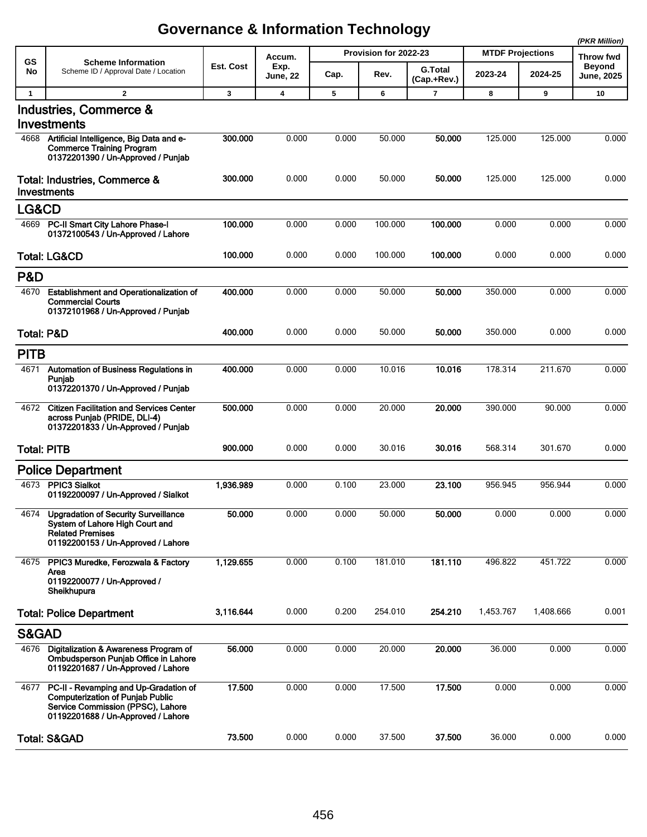|              |                                                                                                                                                             |           |                         |       |                       |                               |                         | (PKR Million) |                                    |
|--------------|-------------------------------------------------------------------------------------------------------------------------------------------------------------|-----------|-------------------------|-------|-----------------------|-------------------------------|-------------------------|---------------|------------------------------------|
| <b>GS</b>    | <b>Scheme Information</b>                                                                                                                                   |           | Accum.                  |       | Provision for 2022-23 |                               | <b>MTDF Projections</b> |               | <b>Throw fwd</b>                   |
| No           | Scheme ID / Approval Date / Location                                                                                                                        | Est. Cost | Exp.<br><b>June, 22</b> | Cap.  | Rev.                  | <b>G.Total</b><br>(Cap.+Rev.) | 2023-24                 | 2024-25       | <b>Beyond</b><br><b>June, 2025</b> |
| $\mathbf{1}$ | $\mathbf{2}$                                                                                                                                                | 3         | 4                       | 5     | 6                     | $\overline{7}$                | 8                       | 9             | 10                                 |
|              | Industries, Commerce &<br>Investments                                                                                                                       |           |                         |       |                       |                               |                         |               |                                    |
|              | 4668 Artificial Intelligence, Big Data and e-<br><b>Commerce Training Program</b><br>01372201390 / Un-Approved / Punjab                                     | 300.000   | 0.000                   | 0.000 | 50.000                | 50.000                        | 125.000                 | 125.000       | 0.000                              |
|              | Total: Industries, Commerce &<br>Investments                                                                                                                | 300.000   | 0.000                   | 0.000 | 50.000                | 50.000                        | 125.000                 | 125.000       | 0.000                              |
| LG&CD        |                                                                                                                                                             |           |                         |       |                       |                               |                         |               |                                    |
| 4669         | PC-II Smart City Lahore Phase-I<br>01372100543 / Un-Approved / Lahore                                                                                       | 100.000   | 0.000                   | 0.000 | 100.000               | 100.000                       | 0.000                   | 0.000         | 0.000                              |
|              | <b>Total: LG&amp;CD</b>                                                                                                                                     | 100.000   | 0.000                   | 0.000 | 100.000               | 100.000                       | 0.000                   | 0.000         | 0.000                              |
| P&D          |                                                                                                                                                             |           |                         |       |                       |                               |                         |               |                                    |
| 4670         | Establishment and Operationalization of<br><b>Commercial Courts</b><br>01372101968 / Un-Approved / Punjab                                                   | 400.000   | 0.000                   | 0.000 | 50.000                | 50.000                        | 350.000                 | 0.000         | 0.000                              |
|              | <b>Total: P&amp;D</b>                                                                                                                                       | 400.000   | 0.000                   | 0.000 | 50.000                | 50.000                        | 350.000                 | 0.000         | 0.000                              |
| <b>PITB</b>  |                                                                                                                                                             |           |                         |       |                       |                               |                         |               |                                    |
| 4671         | <b>Automation of Business Regulations in</b><br>Punjab<br>01372201370 / Un-Approved / Punjab                                                                | 400.000   | 0.000                   | 0.000 | 10.016                | 10.016                        | 178.314                 | 211.670       | 0.000                              |
| 4672         | <b>Citizen Facilitation and Services Center</b><br>across Punjab (PRIDE, DLI-4)<br>01372201833 / Un-Approved / Punjab                                       | 500.000   | 0.000                   | 0.000 | 20.000                | 20.000                        | 390.000                 | 90.000        | 0.000                              |
|              | <b>Total: PITB</b>                                                                                                                                          | 900.000   | 0.000                   | 0.000 | 30.016                | 30.016                        | 568.314                 | 301.670       | 0.000                              |
|              | <b>Police Department</b>                                                                                                                                    |           |                         |       |                       |                               |                         |               |                                    |
| 4673         | <b>PPIC3 Sialkot</b><br>01192200097 / Un-Approved / Sialkot                                                                                                 | 1,936.989 | 0.000                   | 0.100 | 23.000                | 23.100                        | 956.945                 | 956.944       | 0.000                              |
| 4674         | <b>Upgradation of Security Surveillance</b><br>System of Lahore High Court and<br><b>Related Premises</b><br>01192200153 / Un-Approved / Lahore             | 50.000    | 0.000                   | 0.000 | 50.000                | 50.000                        | 0.000                   | 0.000         | 0.000                              |
| 4675         | PPIC3 Muredke, Ferozwala & Factory<br>Area<br>01192200077 / Un-Approved /<br>Sheikhupura                                                                    | 1,129.655 | 0.000                   | 0.100 | 181.010               | 181.110                       | 496.822                 | 451.722       | 0.000                              |
|              | <b>Total: Police Department</b>                                                                                                                             | 3,116.644 | 0.000                   | 0.200 | 254.010               | 254.210                       | 1,453.767               | 1,408.666     | 0.001                              |
| S&GAD        |                                                                                                                                                             |           |                         |       |                       |                               |                         |               |                                    |
| 4676         | Digitalization & Awareness Program of<br>Ombudsperson Punjab Office in Lahore<br>01192201687 / Un-Approved / Lahore                                         | 56.000    | 0.000                   | 0.000 | 20.000                | 20.000                        | 36.000                  | 0.000         | 0.000                              |
| 4677         | PC-II - Revamping and Up-Gradation of<br><b>Computerization of Punjab Public</b><br>Service Commission (PPSC), Lahore<br>01192201688 / Un-Approved / Lahore | 17.500    | 0.000                   | 0.000 | 17.500                | 17.500                        | 0.000                   | 0.000         | 0.000                              |
|              | <b>Total: S&amp;GAD</b>                                                                                                                                     | 73.500    | 0.000                   | 0.000 | 37.500                | 37.500                        | 36.000                  | 0.000         | 0.000                              |